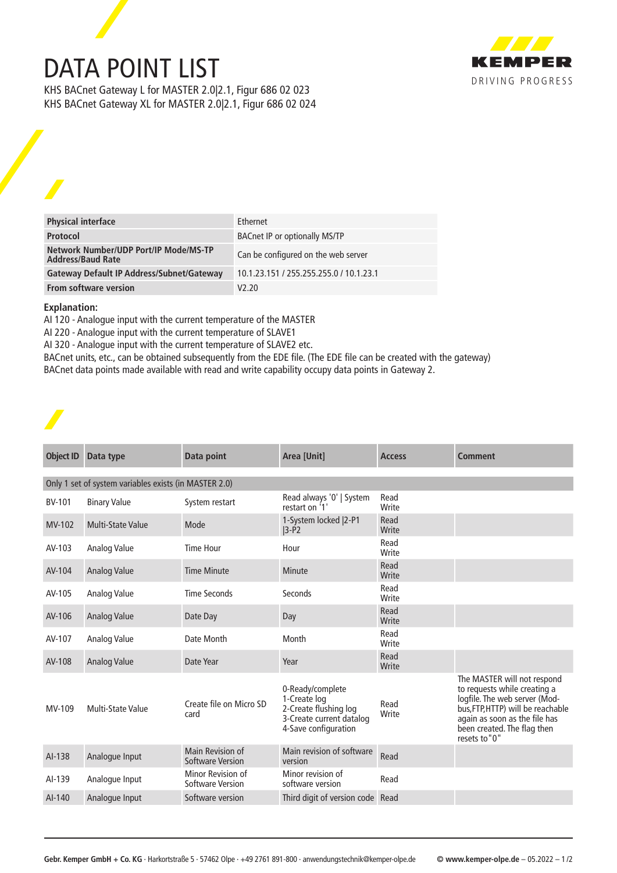## DATA POINT LIST



KHS BACnet Gateway L for MASTER 2.0|2.1, Figur 686 02 023 KHS BACnet Gateway XL for MASTER 2.0|2.1, Figur 686 02 024

| <b>Physical interface</b>                                         | <b>Fthernet</b>                         |
|-------------------------------------------------------------------|-----------------------------------------|
| Protocol                                                          | <b>BACnet IP or optionally MS/TP</b>    |
| Network Number/UDP Port/IP Mode/MS-TP<br><b>Address/Baud Rate</b> | Can be configured on the web server     |
| <b>Gateway Default IP Address/Subnet/Gateway</b>                  | 10.1.23.151 / 255.255.255.0 / 10.1.23.1 |
| <b>From software version</b>                                      | V2.20                                   |

## **Explanation:**

AI 120 - Analogue input with the current temperature of the MASTER

AI 220 - Analogue input with the current temperature of SLAVE1

AI 320 - Analogue input with the current temperature of SLAVE2 etc.

BACnet units, etc., can be obtained subsequently from the EDE file. (The EDE file can be created with the gateway) BACnet data points made available with read and write capability occupy data points in Gateway 2.

| <b>Object ID</b> | Data type                                             | Data point                                   | Area [Unit]                                                                                                   | <b>Access</b> | <b>Comment</b>                                                                                                                                                                                                    |  |  |
|------------------|-------------------------------------------------------|----------------------------------------------|---------------------------------------------------------------------------------------------------------------|---------------|-------------------------------------------------------------------------------------------------------------------------------------------------------------------------------------------------------------------|--|--|
|                  | Only 1 set of system variables exists (in MASTER 2.0) |                                              |                                                                                                               |               |                                                                                                                                                                                                                   |  |  |
| <b>BV-101</b>    | <b>Binary Value</b>                                   | System restart                               | Read always '0'   System<br>restart on '1'                                                                    | Read<br>Write |                                                                                                                                                                                                                   |  |  |
| MV-102           | <b>Multi-State Value</b>                              | Mode                                         | 1-System locked   2-P1<br>$ 3-P2 $                                                                            | Read<br>Write |                                                                                                                                                                                                                   |  |  |
| AV-103           | Analog Value                                          | <b>Time Hour</b>                             | Hour                                                                                                          | Read<br>Write |                                                                                                                                                                                                                   |  |  |
| AV-104           | Analog Value                                          | <b>Time Minute</b>                           | Minute                                                                                                        | Read<br>Write |                                                                                                                                                                                                                   |  |  |
| AV-105           | Analog Value                                          | <b>Time Seconds</b>                          | Seconds                                                                                                       | Read<br>Write |                                                                                                                                                                                                                   |  |  |
| AV-106           | Analog Value                                          | Date Day                                     | Day                                                                                                           | Read<br>Write |                                                                                                                                                                                                                   |  |  |
| AV-107           | Analog Value                                          | Date Month                                   | Month                                                                                                         | Read<br>Write |                                                                                                                                                                                                                   |  |  |
| AV-108           | Analog Value                                          | Date Year                                    | Year                                                                                                          | Read<br>Write |                                                                                                                                                                                                                   |  |  |
| MV-109           | Multi-State Value                                     | Create file on Micro SD<br>card              | 0-Ready/complete<br>1-Create log<br>2-Create flushing log<br>3-Create current datalog<br>4-Save configuration | Read<br>Write | The MASTER will not respond<br>to requests while creating a<br>logfile. The web server (Mod-<br>bus, FTP, HTTP) will be reachable<br>again as soon as the file has<br>been created. The flag then<br>resets to"0" |  |  |
| AI-138           | Analogue Input                                        | Main Revision of<br><b>Software Version</b>  | Main revision of software<br>version                                                                          | Read          |                                                                                                                                                                                                                   |  |  |
| AI-139           | Analogue Input                                        | Minor Revision of<br><b>Software Version</b> | Minor revision of<br>software version                                                                         | Read          |                                                                                                                                                                                                                   |  |  |
| AI-140           | Analogue Input                                        | Software version                             | Third digit of version code Read                                                                              |               |                                                                                                                                                                                                                   |  |  |